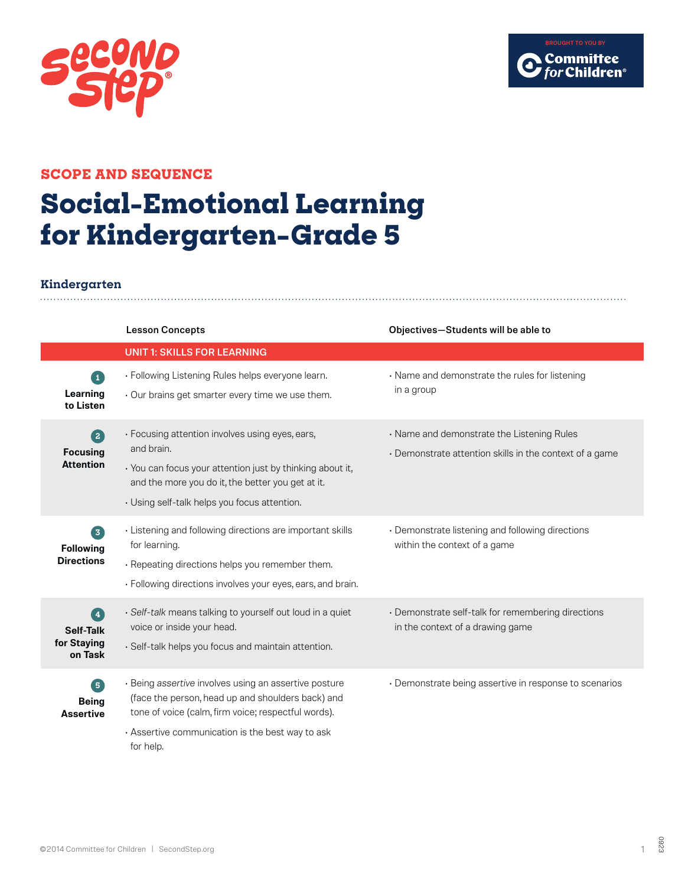



### **SCOPE AND SEQUENCE**

# **Social-Emotional Learning for Kindergarten–Grade 5**

### **Kindergarten**

|                                                           | <b>Lesson Concepts</b>                                                                                                                                                                                                             | Objectives-Students will be able to                                                                   |
|-----------------------------------------------------------|------------------------------------------------------------------------------------------------------------------------------------------------------------------------------------------------------------------------------------|-------------------------------------------------------------------------------------------------------|
|                                                           | <b>UNIT 1: SKILLS FOR LEARNING</b>                                                                                                                                                                                                 |                                                                                                       |
| $\mathbf{1}$<br>Learning<br>to Listen                     | • Following Listening Rules helps everyone learn.<br>· Our brains get smarter every time we use them.                                                                                                                              | • Name and demonstrate the rules for listening<br>in a group                                          |
| $\boxed{2}$<br><b>Focusing</b><br><b>Attention</b>        | · Focusing attention involves using eyes, ears,<br>and brain.<br>· You can focus your attention just by thinking about it,<br>and the more you do it, the better you get at it.<br>• Using self-talk helps you focus attention.    | • Name and demonstrate the Listening Rules<br>• Demonstrate attention skills in the context of a game |
| 3)<br><b>Following</b><br><b>Directions</b>               | • Listening and following directions are important skills<br>for learning.<br>· Repeating directions helps you remember them.<br>· Following directions involves your eyes, ears, and brain.                                       | • Demonstrate listening and following directions<br>within the context of a game                      |
| $\left( 4 \right)$<br>Self-Talk<br>for Staying<br>on Task | · Self-talk means talking to yourself out loud in a quiet<br>voice or inside your head.<br>· Self-talk helps you focus and maintain attention.                                                                                     | · Demonstrate self-talk for remembering directions<br>in the context of a drawing game                |
| 6<br><b>Being</b><br><b>Assertive</b>                     | · Being assertive involves using an assertive posture<br>(face the person, head up and shoulders back) and<br>tone of voice (calm, firm voice; respectful words).<br>. Assertive communication is the best way to ask<br>for help. | • Demonstrate being assertive in response to scenarios                                                |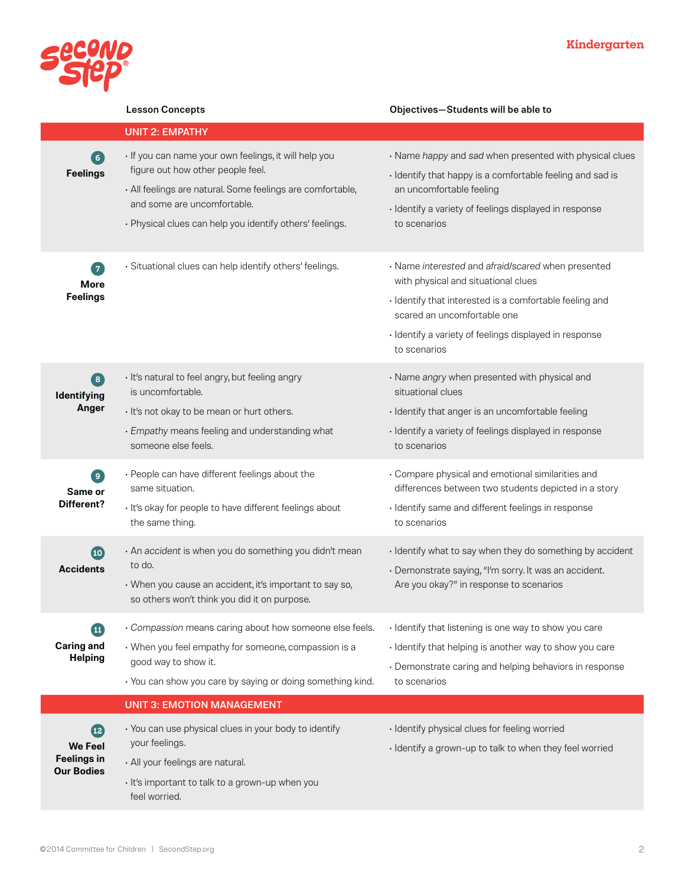

|                                      | <b>Lesson Concepts</b>                                                                                                                                | Objectives-Students will be able to                                                                                  |
|--------------------------------------|-------------------------------------------------------------------------------------------------------------------------------------------------------|----------------------------------------------------------------------------------------------------------------------|
|                                      | <b>UNIT 2: EMPATHY</b>                                                                                                                                |                                                                                                                      |
| $6^{\circ}$<br><b>Feelings</b>       | · If you can name your own feelings, it will help you<br>figure out how other people feel.                                                            | · Name happy and sad when presented with physical clues<br>· Identify that happy is a comfortable feeling and sad is |
|                                      | · All feelings are natural. Some feelings are comfortable,<br>and some are uncomfortable.<br>• Physical clues can help you identify others' feelings. | an uncomfortable feeling<br>· Identify a variety of feelings displayed in response<br>to scenarios                   |
| $\boxed{7}$<br><b>More</b>           | · Situational clues can help identify others' feelings.                                                                                               | · Name interested and afraid/scared when presented<br>with physical and situational clues                            |
| <b>Feelings</b>                      |                                                                                                                                                       | · Identify that interested is a comfortable feeling and<br>scared an uncomfortable one                               |
|                                      |                                                                                                                                                       | · Identify a variety of feelings displayed in response<br>to scenarios                                               |
| $\bullet$<br>Identifying             | · It's natural to feel angry, but feeling angry<br>is uncomfortable.                                                                                  | · Name angry when presented with physical and<br>situational clues                                                   |
| Anger                                | · It's not okay to be mean or hurt others.                                                                                                            | · Identify that anger is an uncomfortable feeling                                                                    |
|                                      | · Empathy means feeling and understanding what<br>someone else feels.                                                                                 | · Identify a variety of feelings displayed in response<br>to scenarios                                               |
| $\bullet$<br>Same or                 | · People can have different feelings about the<br>same situation.                                                                                     | · Compare physical and emotional similarities and<br>differences between two students depicted in a story            |
| Different?                           | · It's okay for people to have different feelings about<br>the same thing.                                                                            | · Identify same and different feelings in response<br>to scenarios                                                   |
| $10^{\circ}$<br><b>Accidents</b>     | · An accident is when you do something you didn't mean<br>to do.                                                                                      | · Identify what to say when they do something by accident                                                            |
|                                      | • When you cause an accident, it's important to say so,<br>so others won't think you did it on purpose.                                               | · Demonstrate saying, "I'm sorry. It was an accident.<br>Are you okay?" in response to scenarios                     |
| 11                                   | · Compassion means caring about how someone else feels.                                                                                               | · Identify that listening is one way to show you care                                                                |
| <b>Caring and</b><br><b>Helping</b>  | • When you feel empathy for someone, compassion is a                                                                                                  | · Identify that helping is another way to show you care                                                              |
|                                      | good way to show it.<br>• You can show you care by saying or doing something kind.                                                                    | • Demonstrate caring and helping behaviors in response<br>to scenarios                                               |
|                                      | <b>UNIT 3: EMOTION MANAGEMENT</b>                                                                                                                     |                                                                                                                      |
| (12)                                 | • You can use physical clues in your body to identify                                                                                                 | · Identify physical clues for feeling worried                                                                        |
| <b>We Feel</b><br><b>Feelings in</b> | your feelings.                                                                                                                                        | · Identify a grown-up to talk to when they feel worried                                                              |
| <b>Our Bodies</b>                    | · All your feelings are natural.                                                                                                                      |                                                                                                                      |
|                                      | · It's important to talk to a grown-up when you<br>feel worried.                                                                                      |                                                                                                                      |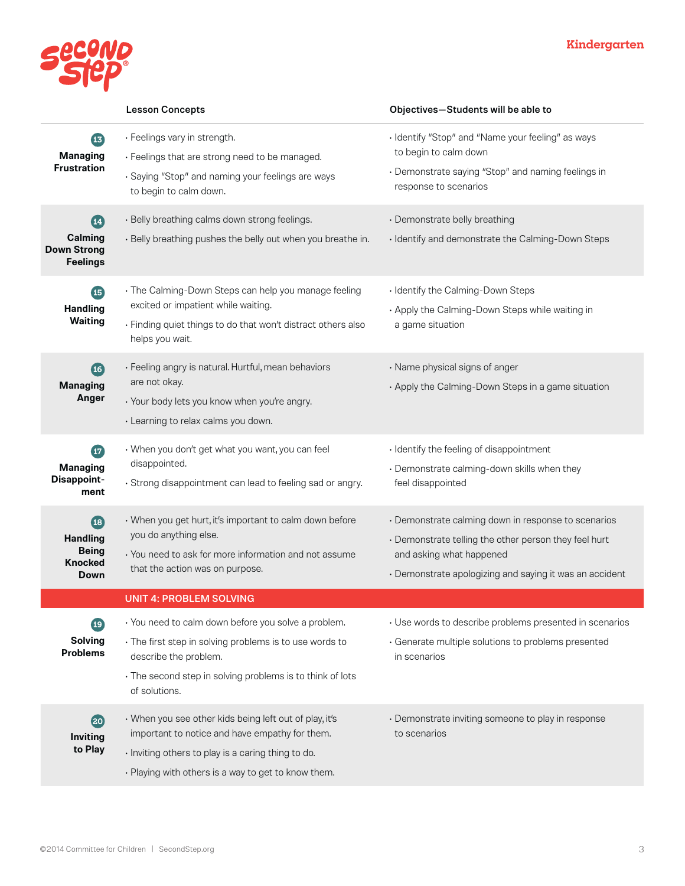

|                                                                              | <b>Lesson Concepts</b>                                                                                                                                                                                                | Objectives-Students will be able to                                                                                                                                                                 |
|------------------------------------------------------------------------------|-----------------------------------------------------------------------------------------------------------------------------------------------------------------------------------------------------------------------|-----------------------------------------------------------------------------------------------------------------------------------------------------------------------------------------------------|
| 13<br><b>Managing</b><br><b>Frustration</b>                                  | · Feelings vary in strength.<br>· Feelings that are strong need to be managed.<br>· Saying "Stop" and naming your feelings are ways<br>to begin to calm down.                                                         | · Identify "Stop" and "Name your feeling" as ways<br>to begin to calm down<br>• Demonstrate saying "Stop" and naming feelings in<br>response to scenarios                                           |
| $\mathbf{14}$<br>Calming<br><b>Down Strong</b><br><b>Feelings</b>            | · Belly breathing calms down strong feelings.<br>. Belly breathing pushes the belly out when you breathe in.                                                                                                          | · Demonstrate belly breathing<br>· Identify and demonstrate the Calming-Down Steps                                                                                                                  |
| $\overline{15}$<br><b>Handling</b><br><b>Waiting</b>                         | · The Calming-Down Steps can help you manage feeling<br>excited or impatient while waiting.<br>· Finding quiet things to do that won't distract others also<br>helps you wait.                                        | · Identify the Calming-Down Steps<br>. Apply the Calming-Down Steps while waiting in<br>a game situation                                                                                            |
| $\overline{16}$<br><b>Managing</b><br>Anger                                  | · Feeling angry is natural. Hurtful, mean behaviors<br>are not okay.<br>• Your body lets you know when you're angry.<br>· Learning to relax calms you down.                                                           | · Name physical signs of anger<br>• Apply the Calming-Down Steps in a game situation                                                                                                                |
| $\bm{\mathbf{\bm{\omega}}}$<br><b>Managing</b><br><b>Disappoint-</b><br>ment | • When you don't get what you want, you can feel<br>disappointed.<br>· Strong disappointment can lead to feeling sad or angry.                                                                                        | · Identify the feeling of disappointment<br>· Demonstrate calming-down skills when they<br>feel disappointed                                                                                        |
| (18)<br><b>Handling</b><br><b>Being</b><br><b>Knocked</b><br>Down            | • When you get hurt, it's important to calm down before<br>you do anything else.<br>• You need to ask for more information and not assume<br>that the action was on purpose.                                          | • Demonstrate calming down in response to scenarios<br>• Demonstrate telling the other person they feel hurt<br>and asking what happened<br>• Demonstrate apologizing and saying it was an accident |
|                                                                              | <b>UNIT 4: PROBLEM SOLVING</b>                                                                                                                                                                                        |                                                                                                                                                                                                     |
| 19<br><b>Solving</b><br><b>Problems</b>                                      | · You need to calm down before you solve a problem.<br>· The first step in solving problems is to use words to<br>describe the problem.<br>• The second step in solving problems is to think of lots<br>of solutions. | • Use words to describe problems presented in scenarios<br>· Generate multiple solutions to problems presented<br>in scenarios                                                                      |
| (20)<br>Inviting<br>to Play                                                  | • When you see other kids being left out of play, it's<br>important to notice and have empathy for them.<br>· Inviting others to play is a caring thing to do.<br>• Playing with others is a way to get to know them. | • Demonstrate inviting someone to play in response<br>to scenarios                                                                                                                                  |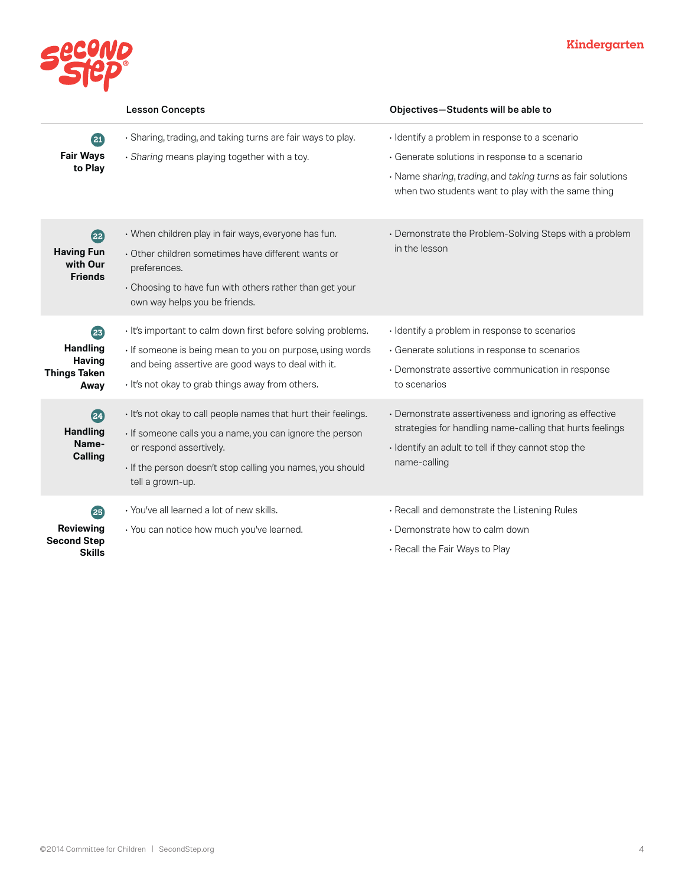

|                                                                       | <b>Lesson Concepts</b>                                                                                                                                                                                                                  | Objectives-Students will be able to                                                                                                                                                      |
|-----------------------------------------------------------------------|-----------------------------------------------------------------------------------------------------------------------------------------------------------------------------------------------------------------------------------------|------------------------------------------------------------------------------------------------------------------------------------------------------------------------------------------|
| 21<br><b>Fair Ways</b><br>to Play                                     | · Sharing, trading, and taking turns are fair ways to play.<br>· Sharing means playing together with a toy.                                                                                                                             | · Identify a problem in response to a scenario<br>· Generate solutions in response to a scenario<br>· Name sharing, trading, and taking turns as fair solutions                          |
|                                                                       |                                                                                                                                                                                                                                         | when two students want to play with the same thing                                                                                                                                       |
| 22<br><b>Having Fun</b><br>with Our<br><b>Friends</b>                 | • When children play in fair ways, everyone has fun.<br>· Other children sometimes have different wants or<br>preferences.<br>• Choosing to have fun with others rather than get your<br>own way helps you be friends.                  | • Demonstrate the Problem-Solving Steps with a problem<br>in the lesson                                                                                                                  |
| 23<br><b>Handling</b><br><b>Having</b><br><b>Things Taken</b><br>Away | · It's important to calm down first before solving problems.<br>· If someone is being mean to you on purpose, using words<br>and being assertive are good ways to deal with it.<br>. It's not okay to grab things away from others.     | · Identify a problem in response to scenarios<br>· Generate solutions in response to scenarios<br>· Demonstrate assertive communication in response<br>to scenarios                      |
| 24<br><b>Handling</b><br>Name-<br><b>Calling</b>                      | · It's not okay to call people names that hurt their feelings.<br>· If someone calls you a name, you can ignore the person<br>or respond assertively.<br>· If the person doesn't stop calling you names, you should<br>tell a grown-up. | · Demonstrate assertiveness and ignoring as effective<br>strategies for handling name-calling that hurts feelings<br>· Identify an adult to tell if they cannot stop the<br>name-calling |
| 25<br>Reviewing<br><b>Second Step</b><br><b>Skills</b>                | · You've all learned a lot of new skills.<br>· You can notice how much you've learned.                                                                                                                                                  | · Recall and demonstrate the Listening Rules<br>• Demonstrate how to calm down<br>. Recall the Fair Ways to Play                                                                         |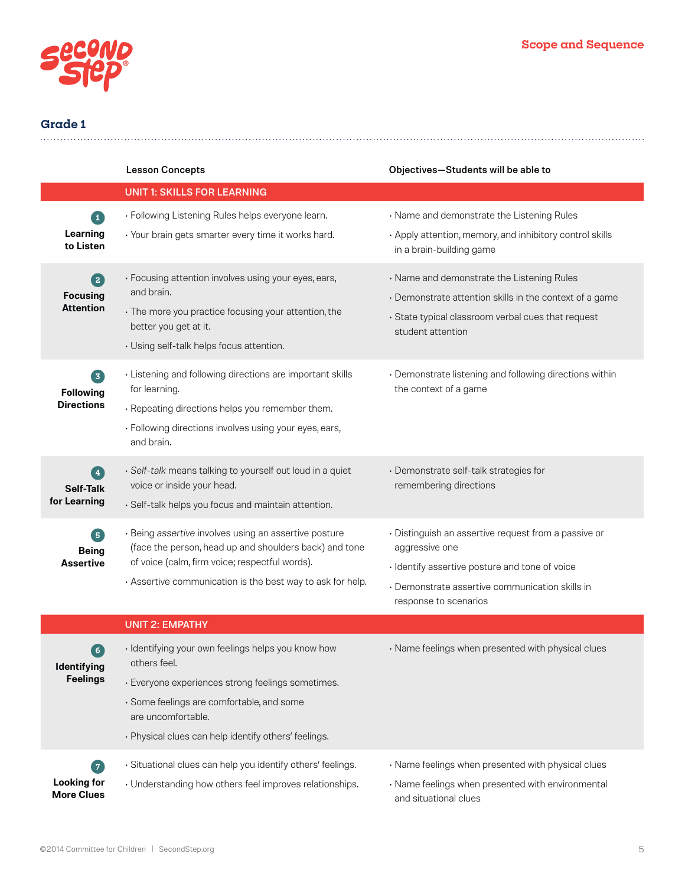

|                                               | <b>Lesson Concepts</b>                                                                                          | Objectives-Students will be able to                                                  |
|-----------------------------------------------|-----------------------------------------------------------------------------------------------------------------|--------------------------------------------------------------------------------------|
|                                               | <b>UNIT 1: SKILLS FOR LEARNING</b>                                                                              |                                                                                      |
| $\vert 1 \vert$                               | · Following Listening Rules helps everyone learn.                                                               | · Name and demonstrate the Listening Rules                                           |
| Learning<br>to Listen                         | · Your brain gets smarter every time it works hard.                                                             | • Apply attention, memory, and inhibitory control skills<br>in a brain-building game |
| $\left( 2\right)$                             | · Focusing attention involves using your eyes, ears,                                                            | · Name and demonstrate the Listening Rules                                           |
| <b>Focusing</b>                               | and brain.                                                                                                      | • Demonstrate attention skills in the context of a game                              |
| <b>Attention</b>                              | · The more you practice focusing your attention, the<br>better you get at it.                                   | · State typical classroom verbal cues that request<br>student attention              |
|                                               | · Using self-talk helps focus attention.                                                                        |                                                                                      |
| $\left[\mathbf{5}\right]$<br><b>Following</b> | · Listening and following directions are important skills<br>for learning.                                      | • Demonstrate listening and following directions within<br>the context of a game     |
| <b>Directions</b>                             | · Repeating directions helps you remember them.                                                                 |                                                                                      |
|                                               | · Following directions involves using your eyes, ears,<br>and brain.                                            |                                                                                      |
| $\sqrt{4}$                                    | · Self-talk means talking to yourself out loud in a quiet                                                       | · Demonstrate self-talk strategies for                                               |
| Self-Talk                                     | voice or inside your head.                                                                                      | remembering directions                                                               |
| for Learning                                  | · Self-talk helps you focus and maintain attention.                                                             |                                                                                      |
| $\boxed{5}$<br><b>Being</b>                   | · Being assertive involves using an assertive posture<br>(face the person, head up and shoulders back) and tone | · Distinguish an assertive request from a passive or<br>aggressive one               |
| <b>Assertive</b>                              | of voice (calm, firm voice; respectful words).                                                                  | · Identify assertive posture and tone of voice                                       |
|                                               | · Assertive communication is the best way to ask for help.                                                      | · Demonstrate assertive communication skills in                                      |
|                                               |                                                                                                                 | response to scenarios                                                                |
|                                               | <b>UNIT 2: EMPATHY</b>                                                                                          |                                                                                      |
| $\left( 6\right)$<br>Identifying              | · Identifying your own feelings helps you know how<br>others feel.                                              | · Name feelings when presented with physical clues                                   |
| <b>Feelings</b>                               | · Everyone experiences strong feelings sometimes.                                                               |                                                                                      |
|                                               | · Some feelings are comfortable, and some<br>are uncomfortable.                                                 |                                                                                      |
|                                               | · Physical clues can help identify others' feelings.                                                            |                                                                                      |
| $\left( 7\right)$                             | · Situational clues can help you identify others' feelings.                                                     | · Name feelings when presented with physical clues                                   |
| <b>Looking for</b><br><b>More Clues</b>       | • Understanding how others feel improves relationships.                                                         | · Name feelings when presented with environmental<br>and situational clues           |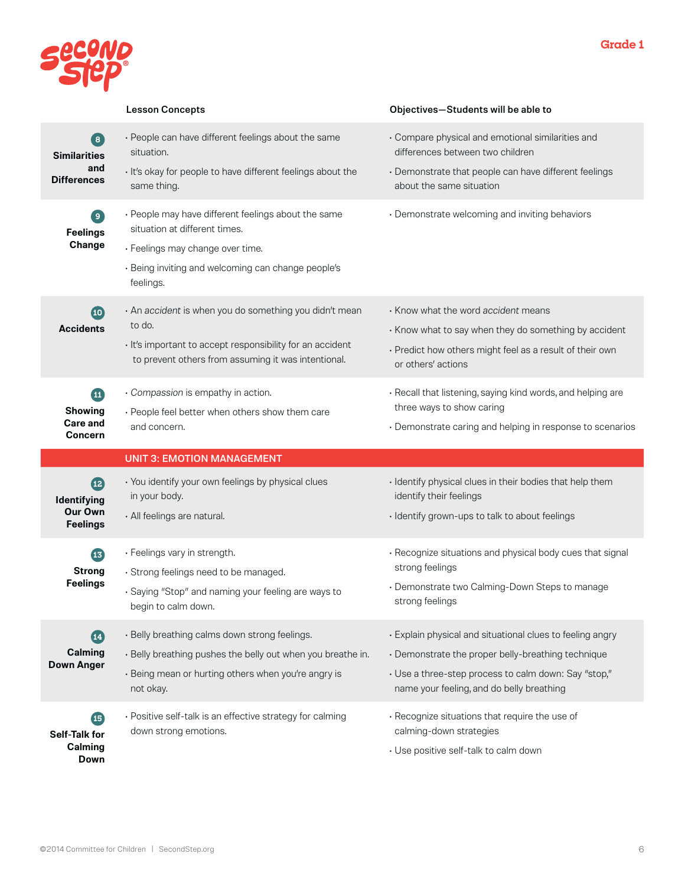

|                                                                               | <b>Lesson Concepts</b>                                                                                                                                                                      | Objectives-Students will be able to                                                                                                            |
|-------------------------------------------------------------------------------|---------------------------------------------------------------------------------------------------------------------------------------------------------------------------------------------|------------------------------------------------------------------------------------------------------------------------------------------------|
| $\left( \begin{array}{c} 8 \end{array} \right)$<br><b>Similarities</b><br>and | · People can have different feelings about the same<br>situation.<br>· It's okay for people to have different feelings about the                                                            | · Compare physical and emotional similarities and<br>differences between two children<br>· Demonstrate that people can have different feelings |
| <b>Differences</b>                                                            | same thing.                                                                                                                                                                                 | about the same situation                                                                                                                       |
| $\left[ \begin{array}{c} 9 \end{array} \right]$<br><b>Feelings</b><br>Change  | • People may have different feelings about the same<br>situation at different times.<br>· Feelings may change over time.<br>· Being inviting and welcoming can change people's<br>feelings. | • Demonstrate welcoming and inviting behaviors                                                                                                 |
| $\overline{10}$                                                               | · An accident is when you do something you didn't mean<br>to do.                                                                                                                            | Know what the word accident means                                                                                                              |
| <b>Accidents</b>                                                              |                                                                                                                                                                                             | • Know what to say when they do something by accident                                                                                          |
|                                                                               | · It's important to accept responsibility for an accident<br>to prevent others from assuming it was intentional.                                                                            | • Predict how others might feel as a result of their own<br>or others' actions                                                                 |
| $\mathbf{u}$                                                                  | · Compassion is empathy in action.                                                                                                                                                          | · Recall that listening, saying kind words, and helping are<br>three ways to show caring                                                       |
| <b>Showing</b><br><b>Care and</b>                                             | · People feel better when others show them care<br>and concern.                                                                                                                             | • Demonstrate caring and helping in response to scenarios                                                                                      |
| <b>Concern</b>                                                                |                                                                                                                                                                                             |                                                                                                                                                |
|                                                                               |                                                                                                                                                                                             |                                                                                                                                                |
|                                                                               | <b>UNIT 3: EMOTION MANAGEMENT</b>                                                                                                                                                           |                                                                                                                                                |
| $\mathbf{12}$                                                                 | · You identify your own feelings by physical clues                                                                                                                                          | · Identify physical clues in their bodies that help them                                                                                       |
| Identifying<br><b>Our Own</b><br><b>Feelings</b>                              | in your body.<br>· All feelings are natural.                                                                                                                                                | identify their feelings<br>· Identify grown-ups to talk to about feelings                                                                      |
| <b>B</b><br><b>Strong</b>                                                     | · Feelings vary in strength.                                                                                                                                                                | · Recognize situations and physical body cues that signal<br>strong feelings                                                                   |
| <b>Feelings</b>                                                               | · Strong feelings need to be managed.<br>· Saying "Stop" and naming your feeling are ways to<br>begin to calm down.                                                                         | • Demonstrate two Calming-Down Steps to manage<br>strong feelings                                                                              |
| $\boldsymbol{\Omega}$                                                         | · Belly breathing calms down strong feelings.                                                                                                                                               | • Explain physical and situational clues to feeling angry                                                                                      |
| <b>Calming</b>                                                                | · Belly breathing pushes the belly out when you breathe in.                                                                                                                                 | · Demonstrate the proper belly-breathing technique                                                                                             |
| <b>Down Anger</b>                                                             | · Being mean or hurting others when you're angry is<br>not okay.                                                                                                                            | · Use a three-step process to calm down: Say "stop,"<br>name your feeling, and do belly breathing                                              |
| $\overline{15}$                                                               | · Positive self-talk is an effective strategy for calming                                                                                                                                   | · Recognize situations that require the use of                                                                                                 |
| <b>Self-Talk for</b><br><b>Calming</b>                                        | down strong emotions.                                                                                                                                                                       | calming-down strategies<br>· Use positive self-talk to calm down                                                                               |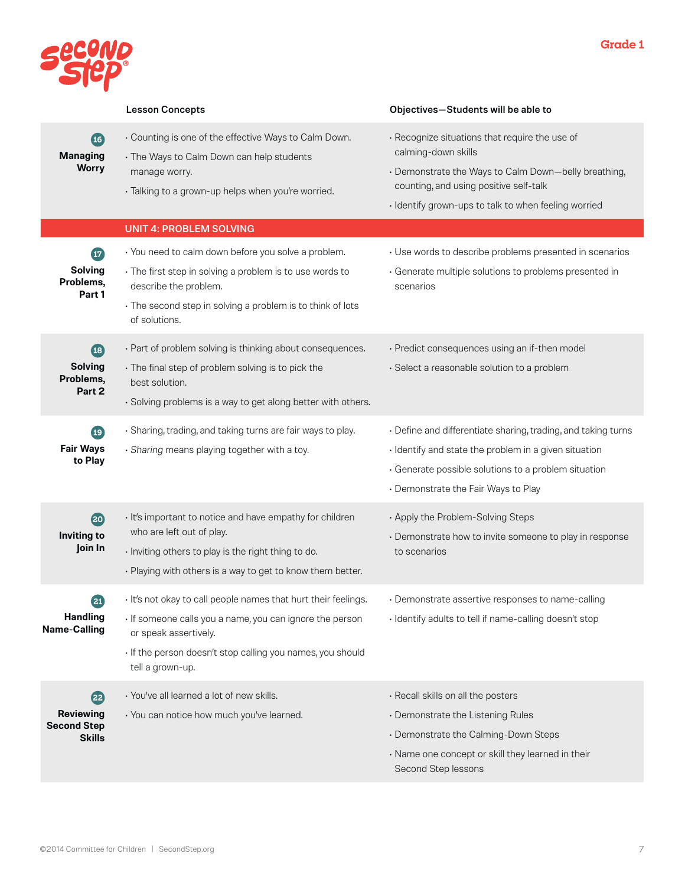

|                                                                                      | <b>Lesson Concepts</b>                                                                                                                                                                                                                | Objectives-Students will be able to                                                                                                                                                                                             |
|--------------------------------------------------------------------------------------|---------------------------------------------------------------------------------------------------------------------------------------------------------------------------------------------------------------------------------------|---------------------------------------------------------------------------------------------------------------------------------------------------------------------------------------------------------------------------------|
| $\overline{16}$<br><b>Managing</b><br><b>Worry</b>                                   | • Counting is one of the effective Ways to Calm Down.<br>· The Ways to Calm Down can help students<br>manage worry.<br>· Talking to a grown-up helps when you're worried.                                                             | · Recognize situations that require the use of<br>calming-down skills<br>• Demonstrate the Ways to Calm Down-belly breathing,<br>counting, and using positive self-talk<br>· Identify grown-ups to talk to when feeling worried |
|                                                                                      | <b>UNIT 4: PROBLEM SOLVING</b>                                                                                                                                                                                                        |                                                                                                                                                                                                                                 |
| $\boldsymbol{\mathbf{\boldsymbol{\omega}}}$<br><b>Solving</b><br>Problems,<br>Part 1 | · You need to calm down before you solve a problem.<br>• The first step in solving a problem is to use words to<br>describe the problem.<br>• The second step in solving a problem is to think of lots<br>of solutions.               | · Use words to describe problems presented in scenarios<br>· Generate multiple solutions to problems presented in<br>scenarios                                                                                                  |
| $\left(18\right)$<br><b>Solving</b><br>Problems,<br>Part 2                           | · Part of problem solving is thinking about consequences.<br>· The final step of problem solving is to pick the<br>best solution.<br>· Solving problems is a way to get along better with others.                                     | · Predict consequences using an if-then model<br>· Select a reasonable solution to a problem                                                                                                                                    |
| 19<br><b>Fair Ways</b><br>to Play                                                    | · Sharing, trading, and taking turns are fair ways to play.<br>· Sharing means playing together with a toy.                                                                                                                           | • Define and differentiate sharing, trading, and taking turns<br>· Identify and state the problem in a given situation<br>· Generate possible solutions to a problem situation<br>• Demonstrate the Fair Ways to Play           |
| 20<br>Inviting to<br>Join In                                                         | · It's important to notice and have empathy for children<br>who are left out of play.<br>· Inviting others to play is the right thing to do.<br>• Playing with others is a way to get to know them better.                            | • Apply the Problem-Solving Steps<br>• Demonstrate how to invite someone to play in response<br>to scenarios                                                                                                                    |
| $\left( 21\right)$<br><b>Handling</b><br><b>Name-Calling</b>                         | · It's not okay to call people names that hurt their feelings.<br>· If someone calls you a name, you can ignore the person<br>or speak assertively.<br>· If the person doesn't stop calling you names, you should<br>tell a grown-up. | · Demonstrate assertive responses to name-calling<br>· Identify adults to tell if name-calling doesn't stop                                                                                                                     |
| (22)<br><b>Reviewing</b><br><b>Second Step</b><br><b>Skills</b>                      | · You've all learned a lot of new skills.<br>· You can notice how much you've learned.                                                                                                                                                | · Recall skills on all the posters<br>• Demonstrate the Listening Rules<br>• Demonstrate the Calming-Down Steps<br>· Name one concept or skill they learned in their<br>Second Step lessons                                     |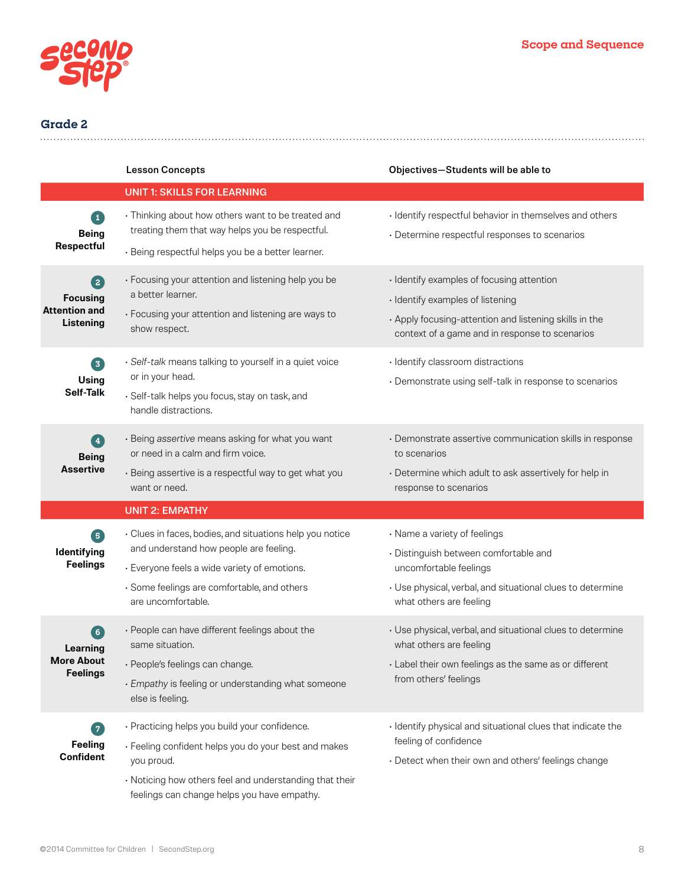

|                                                                     | <b>Lesson Concepts</b>                                                                                                                                                                                                        | Objectives-Students will be able to                                                                                                                                                       |
|---------------------------------------------------------------------|-------------------------------------------------------------------------------------------------------------------------------------------------------------------------------------------------------------------------------|-------------------------------------------------------------------------------------------------------------------------------------------------------------------------------------------|
|                                                                     | <b>UNIT 1: SKILLS FOR LEARNING</b>                                                                                                                                                                                            |                                                                                                                                                                                           |
| $\ket{1}$<br><b>Being</b><br><b>Respectful</b>                      | · Thinking about how others want to be treated and<br>treating them that way helps you be respectful.<br>· Being respectful helps you be a better learner.                                                                    | · Identify respectful behavior in themselves and others<br>• Determine respectful responses to scenarios                                                                                  |
| $\boxed{2}$<br><b>Focusing</b><br><b>Attention and</b><br>Listening | • Focusing your attention and listening help you be<br>a better learner.<br>• Focusing your attention and listening are ways to<br>show respect.                                                                              | · Identify examples of focusing attention<br>· Identify examples of listening<br>. Apply focusing-attention and listening skills in the<br>context of a game and in response to scenarios |
| 3<br>Using<br><b>Self-Talk</b>                                      | · Self-talk means talking to yourself in a quiet voice<br>or in your head.<br>· Self-talk helps you focus, stay on task, and<br>handle distractions.                                                                          | · Identify classroom distractions<br>• Demonstrate using self-talk in response to scenarios                                                                                               |
| $\left( 4\right)$<br><b>Being</b><br><b>Assertive</b>               | · Being assertive means asking for what you want<br>or need in a calm and firm voice.<br>· Being assertive is a respectful way to get what you<br>want or need.                                                               | • Demonstrate assertive communication skills in response<br>to scenarios<br>• Determine which adult to ask assertively for help in<br>response to scenarios                               |
|                                                                     | <b>UNIT 2: EMPATHY</b>                                                                                                                                                                                                        |                                                                                                                                                                                           |
| 0<br>Identifying<br><b>Feelings</b>                                 | · Clues in faces, bodies, and situations help you notice<br>and understand how people are feeling.<br>· Everyone feels a wide variety of emotions.<br>· Some feelings are comfortable, and others<br>are uncomfortable.       | · Name a variety of feelings<br>· Distinguish between comfortable and<br>uncomfortable feelings<br>• Use physical, verbal, and situational clues to determine<br>what others are feeling  |
| $6^{\circ}$<br>Learning<br>More About<br><b>Feelings</b>            | • People can have different feelings about the<br>same situation.<br>· People's feelings can change.<br>· Empathy is feeling or understanding what someone<br>else is feeling.                                                | • Use physical, verbal, and situational clues to determine<br>what others are feeling<br>· Label their own feelings as the same as or different<br>from others' feelings                  |
| 7<br><b>Feeling</b><br><b>Confident</b>                             | · Practicing helps you build your confidence.<br>• Feeling confident helps you do your best and makes<br>you proud.<br>· Noticing how others feel and understanding that their<br>feelings can change helps you have empathy. | · Identify physical and situational clues that indicate the<br>feeling of confidence<br>• Detect when their own and others' feelings change                                               |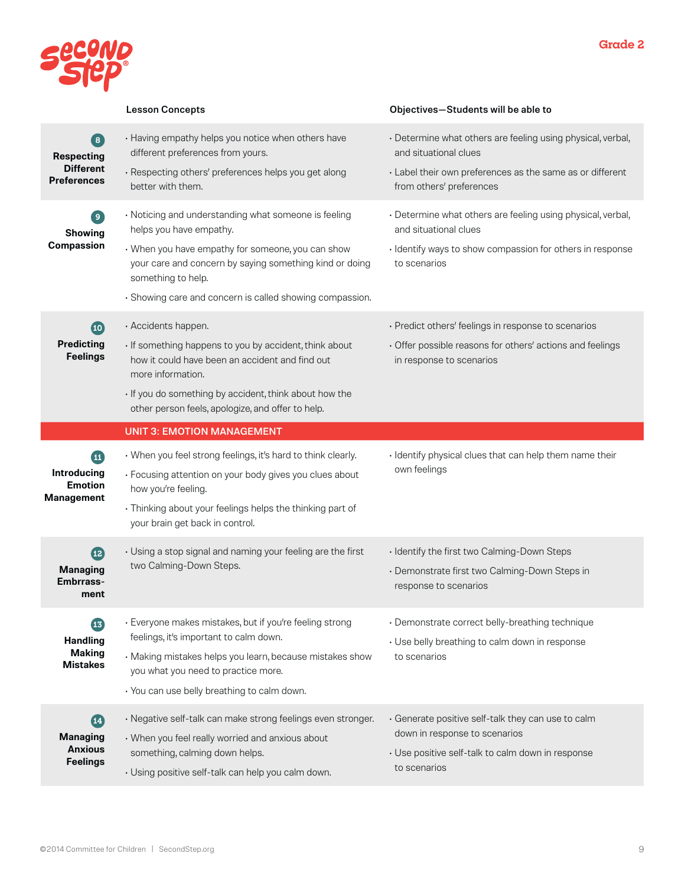

|                                                                                                                | <b>Lesson Concepts</b>                                                                                                                                                                                                                                                            | Objectives-Students will be able to                                                                                                                                           |
|----------------------------------------------------------------------------------------------------------------|-----------------------------------------------------------------------------------------------------------------------------------------------------------------------------------------------------------------------------------------------------------------------------------|-------------------------------------------------------------------------------------------------------------------------------------------------------------------------------|
| $\left[ \begin{array}{c} 8 \end{array} \right]$<br><b>Respecting</b><br><b>Different</b><br><b>Preferences</b> | • Having empathy helps you notice when others have<br>different preferences from yours.<br>· Respecting others' preferences helps you get along<br>better with them.                                                                                                              | · Determine what others are feeling using physical, verbal,<br>and situational clues<br>· Label their own preferences as the same as or different<br>from others' preferences |
| $\left[ \begin{array}{c} 9 \end{array} \right]$<br><b>Showing</b><br><b>Compassion</b>                         | · Noticing and understanding what someone is feeling<br>helps you have empathy.<br>• When you have empathy for someone, you can show<br>your care and concern by saying something kind or doing<br>something to help.<br>· Showing care and concern is called showing compassion. | · Determine what others are feeling using physical, verbal,<br>and situational clues<br>· Identify ways to show compassion for others in response<br>to scenarios             |
| (10)<br><b>Predicting</b><br><b>Feelings</b>                                                                   | · Accidents happen.<br>· If something happens to you by accident, think about<br>how it could have been an accident and find out<br>more information.<br>· If you do something by accident, think about how the<br>other person feels, apologize, and offer to help.              | · Predict others' feelings in response to scenarios<br>• Offer possible reasons for others' actions and feelings<br>in response to scenarios                                  |
|                                                                                                                | <b>UNIT 3: EMOTION MANAGEMENT</b>                                                                                                                                                                                                                                                 |                                                                                                                                                                               |
|                                                                                                                |                                                                                                                                                                                                                                                                                   |                                                                                                                                                                               |
| ⊕<br><b>Introducing</b><br><b>Emotion</b><br>Management                                                        | • When you feel strong feelings, it's hard to think clearly.<br>· Focusing attention on your body gives you clues about<br>how you're feeling.<br>· Thinking about your feelings helps the thinking part of<br>your brain get back in control.                                    | · Identify physical clues that can help them name their<br>own feelings                                                                                                       |
| $\overline{12}$<br><b>Managing</b><br><b>Embrrass-</b><br>ment                                                 | • Using a stop signal and naming your feeling are the first<br>two Calming-Down Steps.                                                                                                                                                                                            | · Identify the first two Calming-Down Steps<br>· Demonstrate first two Calming-Down Steps in<br>response to scenarios                                                         |
| B<br><b>Handling</b><br><b>Making</b><br><b>Mistakes</b>                                                       | · Everyone makes mistakes, but if you're feeling strong<br>feelings, it's important to calm down.<br>· Making mistakes helps you learn, because mistakes show<br>you what you need to practice more.<br>· You can use belly breathing to calm down.                               | · Demonstrate correct belly-breathing technique<br>• Use belly breathing to calm down in response<br>to scenarios                                                             |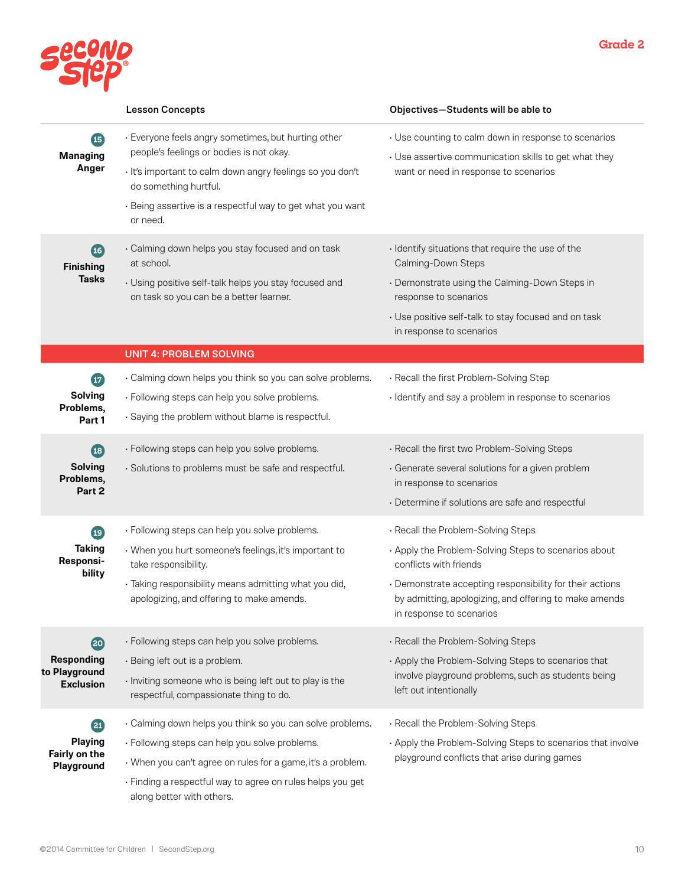

|                                                                                 | <b>Lesson Concepts</b>                                                                                                                                                                                                                                                | Objectives-Students will be able to                                                                                                                                                                                                                                    |
|---------------------------------------------------------------------------------|-----------------------------------------------------------------------------------------------------------------------------------------------------------------------------------------------------------------------------------------------------------------------|------------------------------------------------------------------------------------------------------------------------------------------------------------------------------------------------------------------------------------------------------------------------|
| 15<br><b>Managing</b><br>Anger                                                  | · Everyone feels angry sometimes, but hurting other<br>people's feelings or bodies is not okay.<br>· It's important to calm down angry feelings so you don't<br>do something hurtful.<br>· Being assertive is a respectful way to get what you want<br>or need.       | • Use counting to calm down in response to scenarios<br>• Use assertive communication skills to get what they<br>want or need in response to scenarios                                                                                                                 |
| $\overline{16}$<br><b>Finishing</b><br><b>Tasks</b>                             | · Calming down helps you stay focused and on task<br>at school.<br>• Using positive self-talk helps you stay focused and<br>on task so you can be a better learner.                                                                                                   | · Identify situations that require the use of the<br>Calming-Down Steps<br>• Demonstrate using the Calming-Down Steps in<br>response to scenarios<br>• Use positive self-talk to stay focused and on task<br>in response to scenarios                                  |
|                                                                                 | <b>UNIT 4: PROBLEM SOLVING</b>                                                                                                                                                                                                                                        |                                                                                                                                                                                                                                                                        |
| $\mathbf{F}$<br><b>Solving</b><br>Problems,<br>Part 1                           | · Calming down helps you think so you can solve problems.<br>· Following steps can help you solve problems.<br>· Saying the problem without blame is respectful.                                                                                                      | . Recall the first Problem-Solving Step<br>· Identify and say a problem in response to scenarios                                                                                                                                                                       |
| $\left( \mathbf{1} \mathbf{3} \right)$<br><b>Solving</b><br>Problems,<br>Part 2 | · Following steps can help you solve problems.<br>· Solutions to problems must be safe and respectful.                                                                                                                                                                | · Recall the first two Problem-Solving Steps<br>· Generate several solutions for a given problem<br>in response to scenarios<br>· Determine if solutions are safe and respectful                                                                                       |
| $\bigoplus$<br><b>Taking</b><br>Responsi-<br>bility                             | · Following steps can help you solve problems.<br>• When you hurt someone's feelings, it's important to<br>take responsibility.<br>· Taking responsibility means admitting what you did,<br>apologizing, and offering to make amends.                                 | . Recall the Problem-Solving Steps<br>. Apply the Problem-Solving Steps to scenarios about<br>conflicts with friends<br>• Demonstrate accepting responsibility for their actions<br>by admitting, apologizing, and offering to make amends<br>in response to scenarios |
| 20<br><b>Responding</b><br>to Playground<br><b>Exclusion</b>                    | · Following steps can help you solve problems.<br>· Being left out is a problem.<br>· Inviting someone who is being left out to play is the<br>respectful, compassionate thing to do.                                                                                 | · Recall the Problem-Solving Steps<br>. Apply the Problem-Solving Steps to scenarios that<br>involve playground problems, such as students being<br>left out intentionally                                                                                             |
| 21<br><b>Playing</b><br>Fairly on the<br>Playground                             | · Calming down helps you think so you can solve problems.<br>· Following steps can help you solve problems.<br>• When you can't agree on rules for a game, it's a problem.<br>· Finding a respectful way to agree on rules helps you get<br>along better with others. | . Recall the Problem-Solving Steps<br>. Apply the Problem-Solving Steps to scenarios that involve<br>playground conflicts that arise during games                                                                                                                      |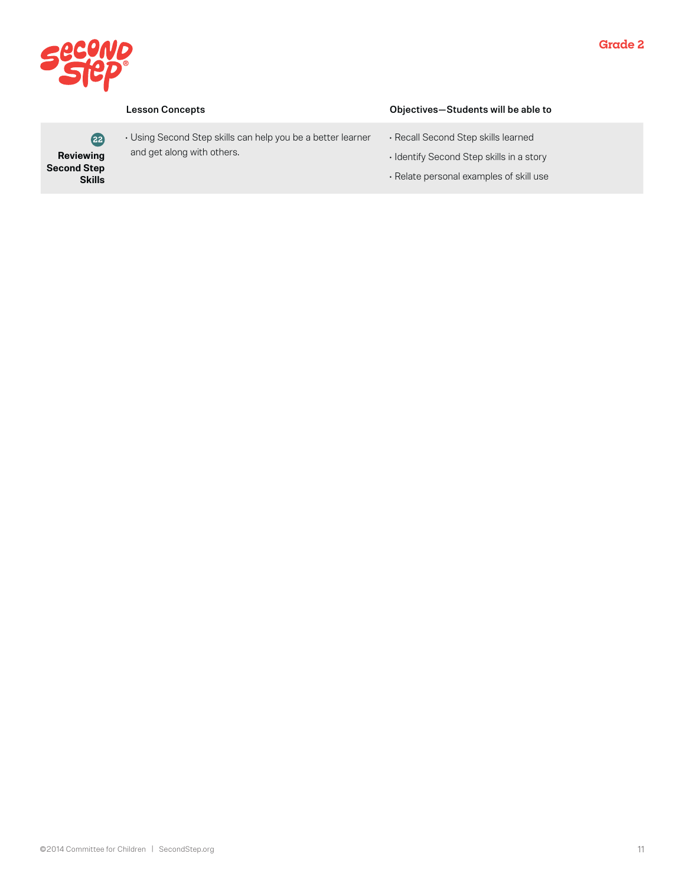

**22 Reviewing Second Step Skills** • Using Second Step skills can help you be a better learner and get along with others.

### Lesson Concepts Objectives—Students will be able to

- Recall Second Step skills learned
- Identify Second Step skills in a story
- Relate personal examples of skill use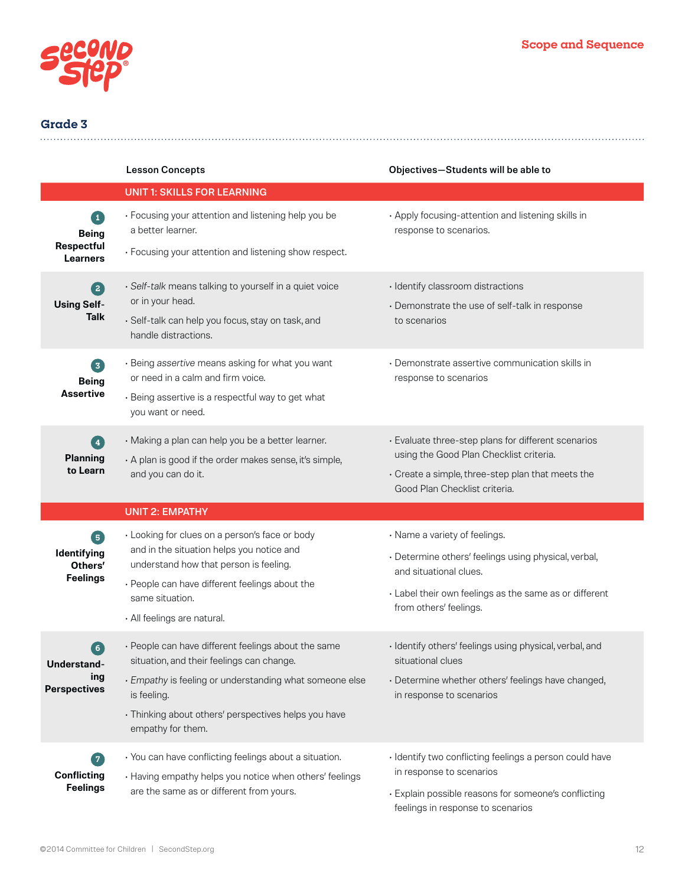

|                                                                | <b>Lesson Concepts</b>                                                                                                                                                                                                                                  | Objectives-Students will be able to                                                                                                                                                                 |
|----------------------------------------------------------------|---------------------------------------------------------------------------------------------------------------------------------------------------------------------------------------------------------------------------------------------------------|-----------------------------------------------------------------------------------------------------------------------------------------------------------------------------------------------------|
|                                                                | <b>UNIT 1: SKILLS FOR LEARNING</b>                                                                                                                                                                                                                      |                                                                                                                                                                                                     |
| $\boxed{1}$<br><b>Being</b><br>Respectful<br><b>Learners</b>   | • Focusing your attention and listening help you be<br>a better learner.<br>· Focusing your attention and listening show respect.                                                                                                                       | . Apply focusing-attention and listening skills in<br>response to scenarios.                                                                                                                        |
| 2<br><b>Using Self-</b><br><b>Talk</b>                         | · Self-talk means talking to yourself in a quiet voice<br>or in your head.<br>· Self-talk can help you focus, stay on task, and<br>handle distractions.                                                                                                 | · Identify classroom distractions<br>· Demonstrate the use of self-talk in response<br>to scenarios                                                                                                 |
| 3<br><b>Being</b><br><b>Assertive</b>                          | · Being assertive means asking for what you want<br>or need in a calm and firm voice.<br>· Being assertive is a respectful way to get what<br>you want or need.                                                                                         | • Demonstrate assertive communication skills in<br>response to scenarios                                                                                                                            |
| $\left( 4\right)$<br><b>Planning</b><br>to Learn               | · Making a plan can help you be a better learner.<br>. A plan is good if the order makes sense, it's simple,<br>and you can do it.                                                                                                                      | · Evaluate three-step plans for different scenarios<br>using the Good Plan Checklist criteria.<br>· Create a simple, three-step plan that meets the<br>Good Plan Checklist criteria.                |
|                                                                | <b>UNIT 2: EMPATHY</b>                                                                                                                                                                                                                                  |                                                                                                                                                                                                     |
| $\boxed{5}$<br>Identifying<br>Others'<br><b>Feelings</b>       | • Looking for clues on a person's face or body<br>and in the situation helps you notice and<br>understand how that person is feeling.<br>• People can have different feelings about the<br>same situation.<br>· All feelings are natural.               | • Name a variety of feelings.<br>· Determine others' feelings using physical, verbal,<br>and situational clues.<br>· Label their own feelings as the same as or different<br>from others' feelings. |
| $\left( 6\right)$<br>Understand-<br>ing<br><b>Perspectives</b> | • People can have different feelings about the same<br>situation, and their feelings can change.<br>· Empathy is feeling or understanding what someone else<br>is feeling.<br>• Thinking about others' perspectives helps you have<br>empathy for them. | · Identify others' feelings using physical, verbal, and<br>situational clues<br>· Determine whether others' feelings have changed,<br>in response to scenarios                                      |
| <b>Conflicting</b><br><b>Feelings</b>                          | · You can have conflicting feelings about a situation.<br>• Having empathy helps you notice when others' feelings<br>are the same as or different from yours.                                                                                           | · Identify two conflicting feelings a person could have<br>in response to scenarios<br>· Explain possible reasons for someone's conflicting<br>feelings in response to scenarios                    |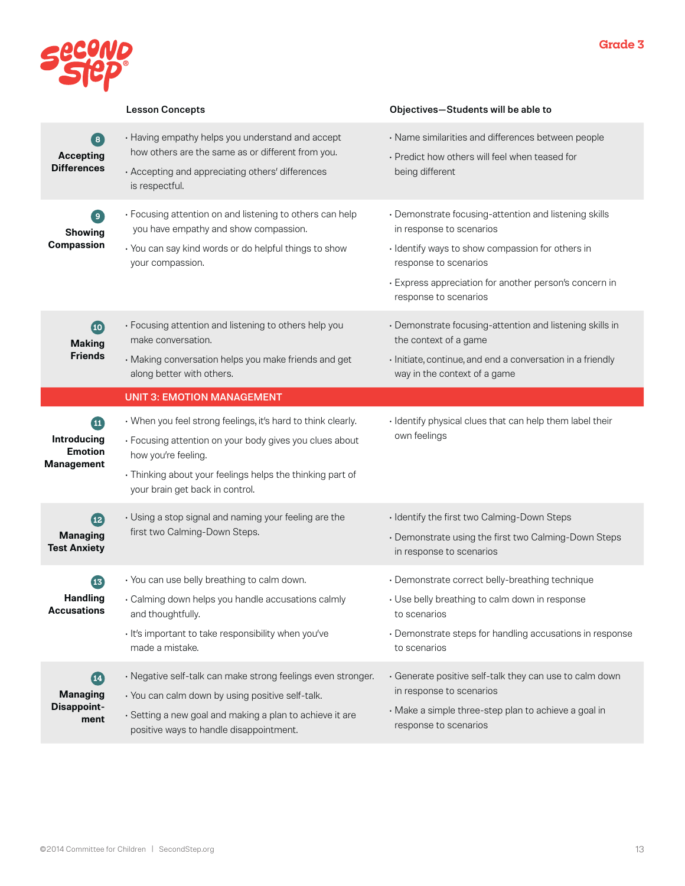

|                                                                                        | <b>Lesson Concepts</b>                                                                                                                                                                                                                         | Objectives-Students will be able to                                                                                                                                                                                                               |
|----------------------------------------------------------------------------------------|------------------------------------------------------------------------------------------------------------------------------------------------------------------------------------------------------------------------------------------------|---------------------------------------------------------------------------------------------------------------------------------------------------------------------------------------------------------------------------------------------------|
| 8<br><b>Accepting</b><br><b>Differences</b>                                            | • Having empathy helps you understand and accept<br>how others are the same as or different from you.<br>· Accepting and appreciating others' differences<br>is respectful.                                                                    | · Name similarities and differences between people<br>• Predict how others will feel when teased for<br>being different                                                                                                                           |
| $\left[ \begin{array}{c} 9 \end{array} \right]$<br><b>Showing</b><br><b>Compassion</b> | · Focusing attention on and listening to others can help<br>you have empathy and show compassion.<br>• You can say kind words or do helpful things to show<br>your compassion.                                                                 | • Demonstrate focusing-attention and listening skills<br>in response to scenarios<br>· Identify ways to show compassion for others in<br>response to scenarios<br>· Express appreciation for another person's concern in<br>response to scenarios |
| $\bullet$<br><b>Making</b><br><b>Friends</b>                                           | • Focusing attention and listening to others help you<br>make conversation.<br>· Making conversation helps you make friends and get<br>along better with others.                                                                               | • Demonstrate focusing-attention and listening skills in<br>the context of a game<br>· Initiate, continue, and end a conversation in a friendly<br>way in the context of a game                                                                   |
|                                                                                        | <b>UNIT 3: EMOTION MANAGEMENT</b>                                                                                                                                                                                                              |                                                                                                                                                                                                                                                   |
| $\bf \bm \Omega$<br><b>Introducing</b><br><b>Emotion</b><br><b>Management</b>          | • When you feel strong feelings, it's hard to think clearly.<br>· Focusing attention on your body gives you clues about<br>how you're feeling.<br>· Thinking about your feelings helps the thinking part of<br>your brain get back in control. | · Identify physical clues that can help them label their<br>own feelings                                                                                                                                                                          |
| $\mathbf{12}$<br><b>Managing</b><br><b>Test Anxiety</b>                                | • Using a stop signal and naming your feeling are the<br>first two Calming-Down Steps.                                                                                                                                                         | · Identify the first two Calming-Down Steps<br>• Demonstrate using the first two Calming-Down Steps<br>in response to scenarios                                                                                                                   |
| $\overline{13}$<br><b>Handling</b><br><b>Accusations</b>                               | • You can use belly breathing to calm down.<br>· Calming down helps you handle accusations calmly<br>and thoughtfully.<br>· It's important to take responsibility when you've<br>made a mistake.                                               | · Demonstrate correct belly-breathing technique<br>• Use belly breathing to calm down in response<br>to scenarios<br>• Demonstrate steps for handling accusations in response<br>to scenarios                                                     |
| (14)<br><b>Managing</b><br><b>Disappoint-</b><br>ment                                  | · Negative self-talk can make strong feelings even stronger.<br>· You can calm down by using positive self-talk.<br>· Setting a new goal and making a plan to achieve it are<br>positive ways to handle disappointment.                        | · Generate positive self-talk they can use to calm down<br>in response to scenarios<br>· Make a simple three-step plan to achieve a goal in<br>response to scenarios                                                                              |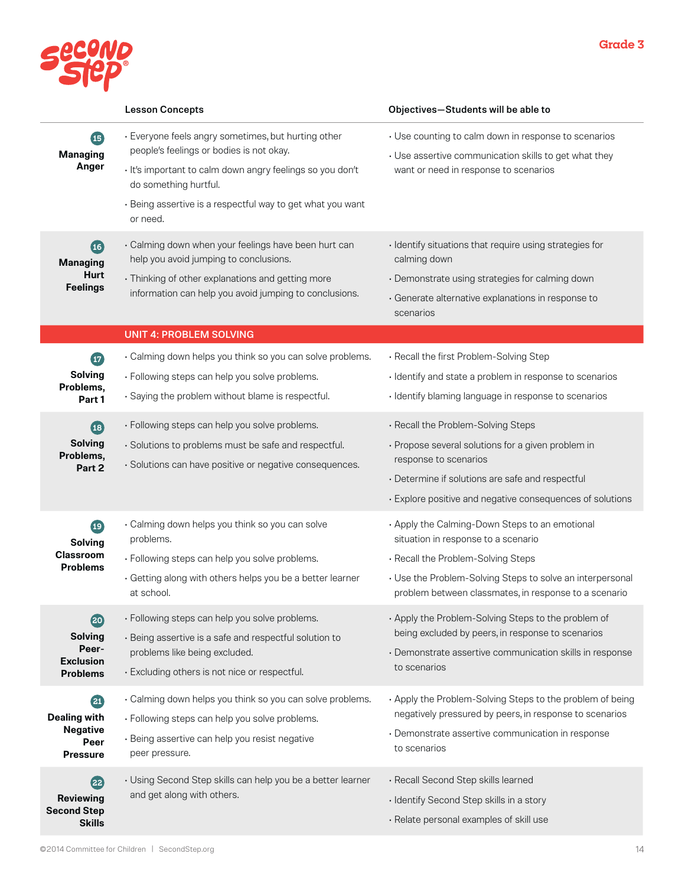

|                                                                         | <b>Lesson Concepts</b>                                                                                                                                                                                                                                          | Objectives-Students will be able to                                                                                                                                                                                                               |
|-------------------------------------------------------------------------|-----------------------------------------------------------------------------------------------------------------------------------------------------------------------------------------------------------------------------------------------------------------|---------------------------------------------------------------------------------------------------------------------------------------------------------------------------------------------------------------------------------------------------|
| 45<br><b>Managing</b><br>Anger                                          | · Everyone feels angry sometimes, but hurting other<br>people's feelings or bodies is not okay.<br>· It's important to calm down angry feelings so you don't<br>do something hurtful.<br>· Being assertive is a respectful way to get what you want<br>or need. | • Use counting to calm down in response to scenarios<br>• Use assertive communication skills to get what they<br>want or need in response to scenarios                                                                                            |
| $\overline{16}$<br><b>Managing</b><br>Hurt<br><b>Feelings</b>           | · Calming down when your feelings have been hurt can<br>help you avoid jumping to conclusions.<br>· Thinking of other explanations and getting more<br>information can help you avoid jumping to conclusions.                                                   | • Identify situations that require using strategies for<br>calming down<br>· Demonstrate using strategies for calming down<br>· Generate alternative explanations in response to<br>scenarios                                                     |
|                                                                         | <b>UNIT 4: PROBLEM SOLVING</b>                                                                                                                                                                                                                                  |                                                                                                                                                                                                                                                   |
| $\bm{\bm{\omega}}$<br><b>Solving</b><br>Problems,<br>Part 1             | · Calming down helps you think so you can solve problems.<br>· Following steps can help you solve problems.<br>· Saying the problem without blame is respectful.                                                                                                | · Recall the first Problem-Solving Step<br>· Identify and state a problem in response to scenarios<br>· Identify blaming language in response to scenarios                                                                                        |
| $\bigoplus$<br><b>Solving</b><br>Problems,<br>Part 2                    | · Following steps can help you solve problems.<br>· Solutions to problems must be safe and respectful.<br>· Solutions can have positive or negative consequences.                                                                                               | · Recall the Problem-Solving Steps<br>• Propose several solutions for a given problem in<br>response to scenarios<br>· Determine if solutions are safe and respectful<br>• Explore positive and negative consequences of solutions                |
| $\bigoplus$<br><b>Solving</b><br><b>Classroom</b><br><b>Problems</b>    | · Calming down helps you think so you can solve<br>problems.<br>· Following steps can help you solve problems.<br>· Getting along with others helps you be a better learner<br>at school.                                                                       | · Apply the Calming-Down Steps to an emotional<br>situation in response to a scenario<br>· Recall the Problem-Solving Steps<br>• Use the Problem-Solving Steps to solve an interpersonal<br>problem between classmates, in response to a scenario |
| (20)<br><b>Solving</b><br>Peer-<br><b>Exclusion</b><br><b>Problems</b>  | · Following steps can help you solve problems.<br>· Being assertive is a safe and respectful solution to<br>problems like being excluded.<br>· Excluding others is not nice or respectful.                                                                      | • Apply the Problem-Solving Steps to the problem of<br>being excluded by peers, in response to scenarios<br>· Demonstrate assertive communication skills in response<br>to scenarios                                                              |
| 21<br><b>Dealing with</b><br><b>Negative</b><br>Peer<br><b>Pressure</b> | · Calming down helps you think so you can solve problems.<br>· Following steps can help you solve problems.<br>· Being assertive can help you resist negative<br>peer pressure.                                                                                 | • Apply the Problem-Solving Steps to the problem of being<br>negatively pressured by peers, in response to scenarios<br>· Demonstrate assertive communication in response<br>to scenarios                                                         |
| (22)<br><b>Reviewing</b><br><b>Second Step</b><br><b>Skills</b>         | • Using Second Step skills can help you be a better learner<br>and get along with others.                                                                                                                                                                       | · Recall Second Step skills learned<br>· Identify Second Step skills in a story<br>· Relate personal examples of skill use                                                                                                                        |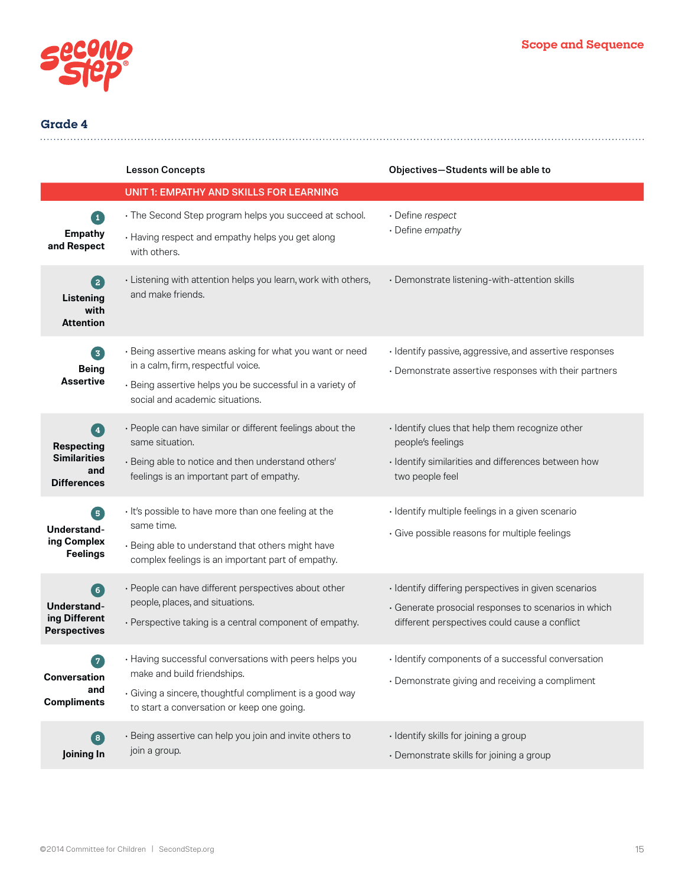

|                                                                              | <b>Lesson Concepts</b>                                                                                                                                                                         | Objectives-Students will be able to                                                                                                                           |
|------------------------------------------------------------------------------|------------------------------------------------------------------------------------------------------------------------------------------------------------------------------------------------|---------------------------------------------------------------------------------------------------------------------------------------------------------------|
|                                                                              | <b>UNIT 1: EMPATHY AND SKILLS FOR LEARNING</b>                                                                                                                                                 |                                                                                                                                                               |
| П<br><b>Empathy</b><br>and Respect                                           | • The Second Step program helps you succeed at school.<br>• Having respect and empathy helps you get along<br>with others.                                                                     | · Define respect<br>· Define empathy                                                                                                                          |
| 2<br>Listening<br>with<br><b>Attention</b>                                   | • Listening with attention helps you learn, work with others,<br>and make friends.                                                                                                             | · Demonstrate listening-with-attention skills                                                                                                                 |
| 3<br><b>Being</b><br><b>Assertive</b>                                        | • Being assertive means asking for what you want or need<br>in a calm, firm, respectful voice.<br>· Being assertive helps you be successful in a variety of<br>social and academic situations. | · Identify passive, aggressive, and assertive responses<br>• Demonstrate assertive responses with their partners                                              |
| Ø<br><b>Respecting</b><br><b>Similarities</b><br>and<br><b>Differences</b>   | · People can have similar or different feelings about the<br>same situation.<br>· Being able to notice and then understand others'<br>feelings is an important part of empathy.                | · Identify clues that help them recognize other<br>people's feelings<br>· Identify similarities and differences between how<br>two people feel                |
| $\sqrt{5}$<br>Understand-<br>ing Complex<br><b>Feelings</b>                  | · It's possible to have more than one feeling at the<br>same time.<br>· Being able to understand that others might have<br>complex feelings is an important part of empathy.                   | · Identify multiple feelings in a given scenario<br>· Give possible reasons for multiple feelings                                                             |
| 6 <sup>1</sup><br><b>Understand-</b><br>ing Different<br><b>Perspectives</b> | · People can have different perspectives about other<br>people, places, and situations.<br>• Perspective taking is a central component of empathy.                                             | · Identify differing perspectives in given scenarios<br>· Generate prosocial responses to scenarios in which<br>different perspectives could cause a conflict |
| <b>Conversation</b><br>and<br><b>Compliments</b>                             | • Having successful conversations with peers helps you<br>make and build friendships.<br>· Giving a sincere, thoughtful compliment is a good way<br>to start a conversation or keep one going. | · Identify components of a successful conversation<br>· Demonstrate giving and receiving a compliment                                                         |
| $\bullet$<br>Joining In                                                      | · Being assertive can help you join and invite others to<br>join a group.                                                                                                                      | · Identify skills for joining a group<br>· Demonstrate skills for joining a group                                                                             |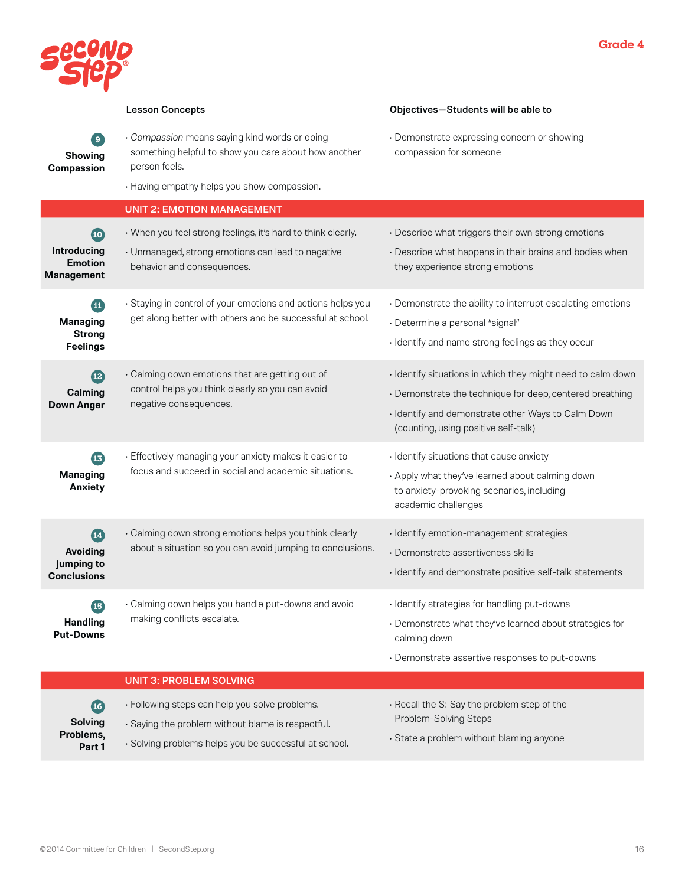



|                                                                              | <b>Lesson Concepts</b>                                                                                                                                                | Objectives-Students will be able to                                                                                                                                                                                   |
|------------------------------------------------------------------------------|-----------------------------------------------------------------------------------------------------------------------------------------------------------------------|-----------------------------------------------------------------------------------------------------------------------------------------------------------------------------------------------------------------------|
| $\mathbf{9}$<br>Showing<br><b>Compassion</b>                                 | · Compassion means saying kind words or doing<br>something helpful to show you care about how another<br>person feels.<br>• Having empathy helps you show compassion. | · Demonstrate expressing concern or showing<br>compassion for someone                                                                                                                                                 |
|                                                                              | <b>UNIT 2: EMOTION MANAGEMENT</b>                                                                                                                                     |                                                                                                                                                                                                                       |
| $\overline{10}$<br><b>Introducing</b><br><b>Emotion</b><br><b>Management</b> | • When you feel strong feelings, it's hard to think clearly.<br>• Unmanaged, strong emotions can lead to negative<br>behavior and consequences.                       | · Describe what triggers their own strong emotions<br>• Describe what happens in their brains and bodies when<br>they experience strong emotions                                                                      |
| $\blacksquare$<br><b>Managing</b><br><b>Strong</b><br><b>Feelings</b>        | · Staying in control of your emotions and actions helps you<br>get along better with others and be successful at school.                                              | • Demonstrate the ability to interrupt escalating emotions<br>· Determine a personal "signal"<br>· Identify and name strong feelings as they occur                                                                    |
| (12)<br>Calming<br><b>Down Anger</b>                                         | · Calming down emotions that are getting out of<br>control helps you think clearly so you can avoid<br>negative consequences.                                         | · Identify situations in which they might need to calm down<br>• Demonstrate the technique for deep, centered breathing<br>· Identify and demonstrate other Ways to Calm Down<br>(counting, using positive self-talk) |
| 43<br><b>Managing</b><br><b>Anxiety</b>                                      | · Effectively managing your anxiety makes it easier to<br>focus and succeed in social and academic situations.                                                        | · Identify situations that cause anxiety<br>. Apply what they've learned about calming down<br>to anxiety-provoking scenarios, including<br>academic challenges                                                       |
| $\mathbf{14}$<br><b>Avoiding</b><br><b>Jumping to</b><br><b>Conclusions</b>  | · Calming down strong emotions helps you think clearly<br>about a situation so you can avoid jumping to conclusions.                                                  | · Identify emotion-management strategies<br>· Demonstrate assertiveness skills<br>· Identify and demonstrate positive self-talk statements                                                                            |
| $\overline{15}$<br><b>Handling</b><br><b>Put-Downs</b>                       | · Calming down helps you handle put-downs and avoid<br>making conflicts escalate.                                                                                     | · Identify strategies for handling put-downs<br>• Demonstrate what they've learned about strategies for<br>calming down<br>· Demonstrate assertive responses to put-downs                                             |
|                                                                              | <b>UNIT 3: PROBLEM SOLVING</b>                                                                                                                                        |                                                                                                                                                                                                                       |
| (16)<br><b>Solving</b><br>Problems,<br>Part 1                                | · Following steps can help you solve problems.<br>· Saying the problem without blame is respectful.<br>· Solving problems helps you be successful at school.          | · Recall the S: Say the problem step of the<br>Problem-Solving Steps<br>· State a problem without blaming anyone                                                                                                      |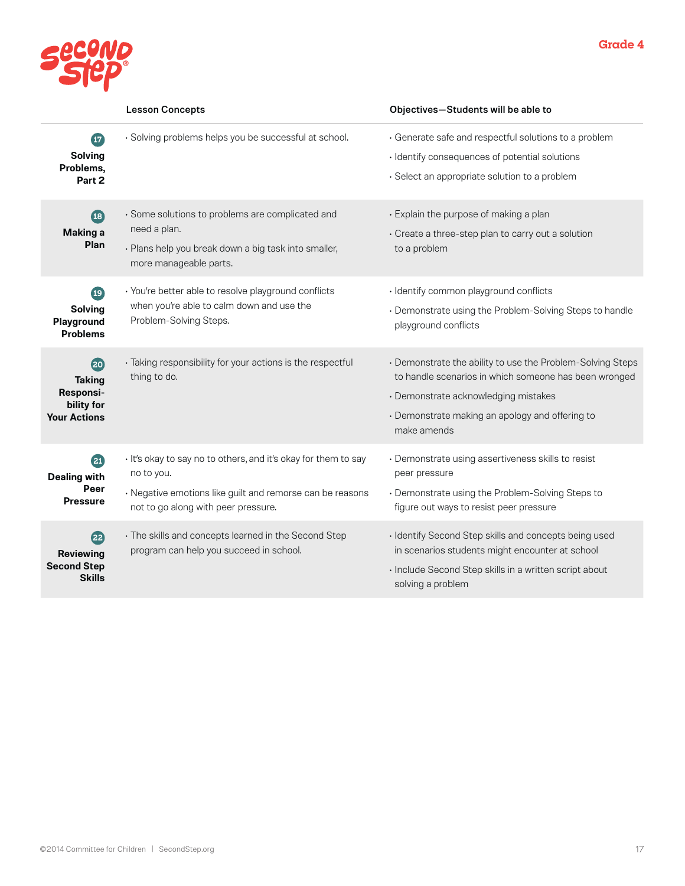

|                                                                                                    | <b>Lesson Concepts</b>                                                                                                                                                           | Objectives-Students will be able to                                                                                                                                                                                           |
|----------------------------------------------------------------------------------------------------|----------------------------------------------------------------------------------------------------------------------------------------------------------------------------------|-------------------------------------------------------------------------------------------------------------------------------------------------------------------------------------------------------------------------------|
| $\boldsymbol{\mathbf{\boldsymbol{\Psi}}}$<br><b>Solving</b><br>Problems,<br>Part 2                 | · Solving problems helps you be successful at school.                                                                                                                            | · Generate safe and respectful solutions to a problem<br>· Identify consequences of potential solutions<br>· Select an appropriate solution to a problem                                                                      |
| $\overline{18}$<br><b>Making a</b><br>Plan                                                         | · Some solutions to problems are complicated and<br>need a plan.<br>· Plans help you break down a big task into smaller,<br>more manageable parts.                               | · Explain the purpose of making a plan<br>• Create a three-step plan to carry out a solution<br>to a problem                                                                                                                  |
| $\left( \begin{matrix} 19 \end{matrix} \right)$<br><b>Solving</b><br>Playground<br><b>Problems</b> | · You're better able to resolve playground conflicts<br>when you're able to calm down and use the<br>Problem-Solving Steps.                                                      | · Identify common playground conflicts<br>• Demonstrate using the Problem-Solving Steps to handle<br>playground conflicts                                                                                                     |
| 20<br><b>Taking</b><br>Responsi-<br>bility for<br><b>Your Actions</b>                              | · Taking responsibility for your actions is the respectful<br>thing to do.                                                                                                       | • Demonstrate the ability to use the Problem-Solving Steps<br>to handle scenarios in which someone has been wronged<br>· Demonstrate acknowledging mistakes<br>• Demonstrate making an apology and offering to<br>make amends |
| 21<br><b>Dealing with</b><br>Peer<br><b>Pressure</b>                                               | · It's okay to say no to others, and it's okay for them to say<br>no to you.<br>· Negative emotions like guilt and remorse can be reasons<br>not to go along with peer pressure. | · Demonstrate using assertiveness skills to resist<br>peer pressure<br>• Demonstrate using the Problem-Solving Steps to<br>figure out ways to resist peer pressure                                                            |
| (22)<br><b>Reviewing</b><br><b>Second Step</b><br><b>Skills</b>                                    | · The skills and concepts learned in the Second Step<br>program can help you succeed in school.                                                                                  | · Identify Second Step skills and concepts being used<br>in scenarios students might encounter at school<br>· Include Second Step skills in a written script about<br>solving a problem                                       |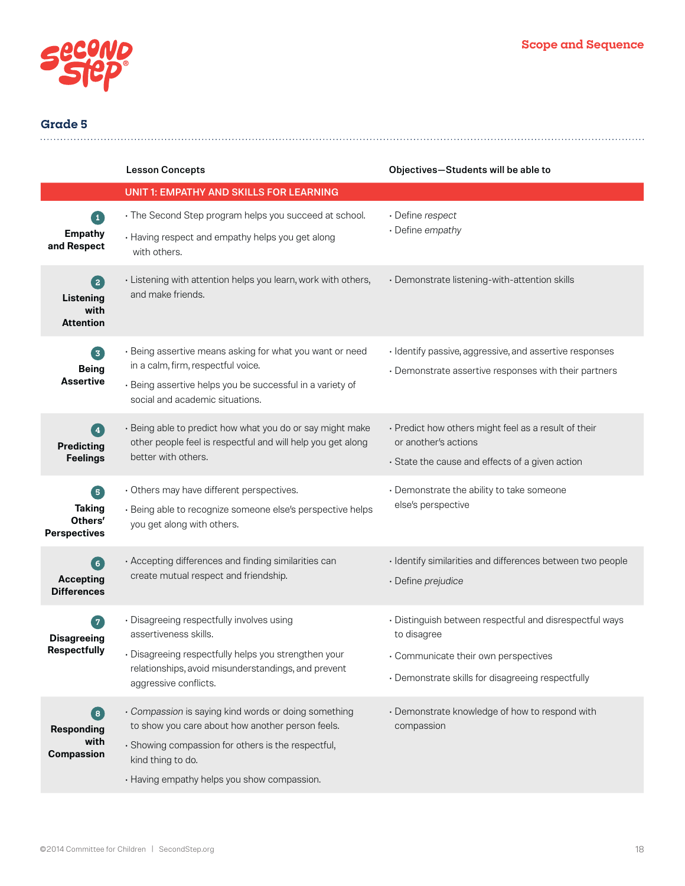

|                                                         | <b>Lesson Concepts</b>                                                                                                                          | Objectives-Students will be able to                                                                              |
|---------------------------------------------------------|-------------------------------------------------------------------------------------------------------------------------------------------------|------------------------------------------------------------------------------------------------------------------|
|                                                         | UNIT 1: EMPATHY AND SKILLS FOR LEARNING                                                                                                         |                                                                                                                  |
| $\boxed{1}$                                             | • The Second Step program helps you succeed at school.                                                                                          | · Define respect                                                                                                 |
| <b>Empathy</b><br>and Respect                           | • Having respect and empathy helps you get along<br>with others.                                                                                | • Define empathy                                                                                                 |
| 2<br>Listening<br>with<br><b>Attention</b>              | · Listening with attention helps you learn, work with others,<br>and make friends.                                                              | · Demonstrate listening-with-attention skills                                                                    |
| 3                                                       | · Being assertive means asking for what you want or need<br>in a calm, firm, respectful voice.                                                  | · Identify passive, aggressive, and assertive responses<br>• Demonstrate assertive responses with their partners |
| <b>Being</b><br><b>Assertive</b>                        | · Being assertive helps you be successful in a variety of<br>social and academic situations.                                                    |                                                                                                                  |
| $\left( \begin{matrix} \mathbf{4} \end{matrix} \right)$ | · Being able to predict how what you do or say might make<br>other people feel is respectful and will help you get along<br>better with others. | • Predict how others might feel as a result of their<br>or another's actions                                     |
| <b>Predicting</b><br><b>Feelings</b>                    |                                                                                                                                                 | · State the cause and effects of a given action                                                                  |
| 6                                                       | · Others may have different perspectives.                                                                                                       | • Demonstrate the ability to take someone<br>else's perspective                                                  |
| <b>Taking</b><br>Others'<br><b>Perspectives</b>         | · Being able to recognize someone else's perspective helps<br>you get along with others.                                                        |                                                                                                                  |
| 6                                                       | · Accepting differences and finding similarities can<br>create mutual respect and friendship.                                                   | · Identify similarities and differences between two people                                                       |
| <b>Accepting</b><br><b>Differences</b>                  |                                                                                                                                                 | · Define prejudice                                                                                               |
| 7<br><b>Disagreeing</b><br><b>Respectfully</b>          | · Disagreeing respectfully involves using<br>assertiveness skills.                                                                              | · Distinguish between respectful and disrespectful ways<br>to disagree                                           |
|                                                         | · Disagreeing respectfully helps you strengthen your<br>relationships, avoid misunderstandings, and prevent<br>aggressive conflicts.            | • Communicate their own perspectives                                                                             |
|                                                         |                                                                                                                                                 | · Demonstrate skills for disagreeing respectfully                                                                |
| 8<br><b>Responding</b><br>with<br><b>Compassion</b>     | · Compassion is saying kind words or doing something<br>to show you care about how another person feels.                                        | • Demonstrate knowledge of how to respond with<br>compassion                                                     |
|                                                         | · Showing compassion for others is the respectful,<br>kind thing to do.                                                                         |                                                                                                                  |
|                                                         | · Having empathy helps you show compassion.                                                                                                     |                                                                                                                  |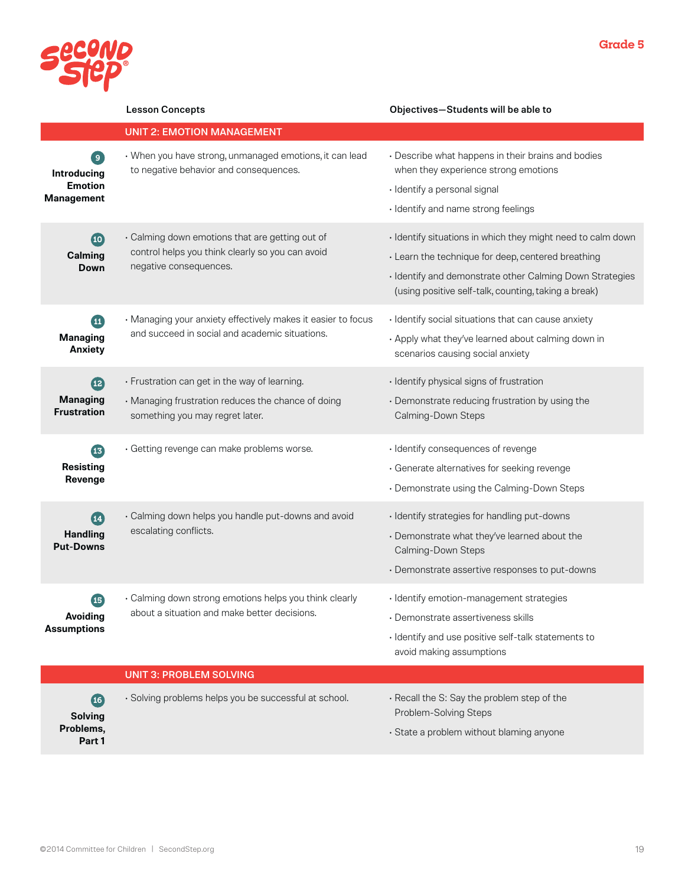

|                                                                      | <b>Lesson Concepts</b>                                                                                                                 | Objectives-Students will be able to                                                                                                                                                                                                   |
|----------------------------------------------------------------------|----------------------------------------------------------------------------------------------------------------------------------------|---------------------------------------------------------------------------------------------------------------------------------------------------------------------------------------------------------------------------------------|
|                                                                      | <b>UNIT 2: EMOTION MANAGEMENT</b>                                                                                                      |                                                                                                                                                                                                                                       |
| $\overline{9}$<br>Introducing<br><b>Emotion</b><br><b>Management</b> | • When you have strong, unmanaged emotions, it can lead<br>to negative behavior and consequences.                                      | • Describe what happens in their brains and bodies<br>when they experience strong emotions<br>· Identify a personal signal<br>· Identify and name strong feelings                                                                     |
| $\overline{10}$<br>Calming<br>Down                                   | · Calming down emotions that are getting out of<br>control helps you think clearly so you can avoid<br>negative consequences.          | · Identify situations in which they might need to calm down<br>· Learn the technique for deep, centered breathing<br>· Identify and demonstrate other Calming Down Strategies<br>(using positive self-talk, counting, taking a break) |
| $\mathbf{E}$<br><b>Managing</b><br><b>Anxiety</b>                    | • Managing your anxiety effectively makes it easier to focus<br>and succeed in social and academic situations.                         | · Identify social situations that can cause anxiety<br>• Apply what they've learned about calming down in<br>scenarios causing social anxiety                                                                                         |
| $\overline{12}$<br><b>Managing</b><br><b>Frustration</b>             | · Frustration can get in the way of learning.<br>• Managing frustration reduces the chance of doing<br>something you may regret later. | · Identify physical signs of frustration<br>· Demonstrate reducing frustration by using the<br>Calming-Down Steps                                                                                                                     |
| <b>B</b><br><b>Resisting</b><br>Revenge                              | · Getting revenge can make problems worse.                                                                                             | · Identify consequences of revenge<br>· Generate alternatives for seeking revenge<br>• Demonstrate using the Calming-Down Steps                                                                                                       |
| $\overline{14}$<br><b>Handling</b><br><b>Put-Downs</b>               | · Calming down helps you handle put-downs and avoid<br>escalating conflicts.                                                           | · Identify strategies for handling put-downs<br>• Demonstrate what they've learned about the<br>Calming-Down Steps<br>• Demonstrate assertive responses to put-downs                                                                  |
| $\boldsymbol{\Phi}$<br><b>Avoiding</b><br><b>Assumptions</b>         | $\cdot$ Calming down strong emotions helps you think clearly<br>about a situation and make better decisions.                           | · Identify emotion-management strategies<br>· Demonstrate assertiveness skills<br>· Identify and use positive self-talk statements to<br>avoid making assumptions                                                                     |
|                                                                      | <b>UNIT 3: PROBLEM SOLVING</b>                                                                                                         |                                                                                                                                                                                                                                       |
| $\overline{16}$<br><b>Solving</b><br>Problems,                       | · Solving problems helps you be successful at school.                                                                                  | · Recall the S: Say the problem step of the<br>Problem-Solving Steps<br>· State a problem without blaming anyone                                                                                                                      |

©2014 Committee for Children | SecondStep.org 19

**Part 1**